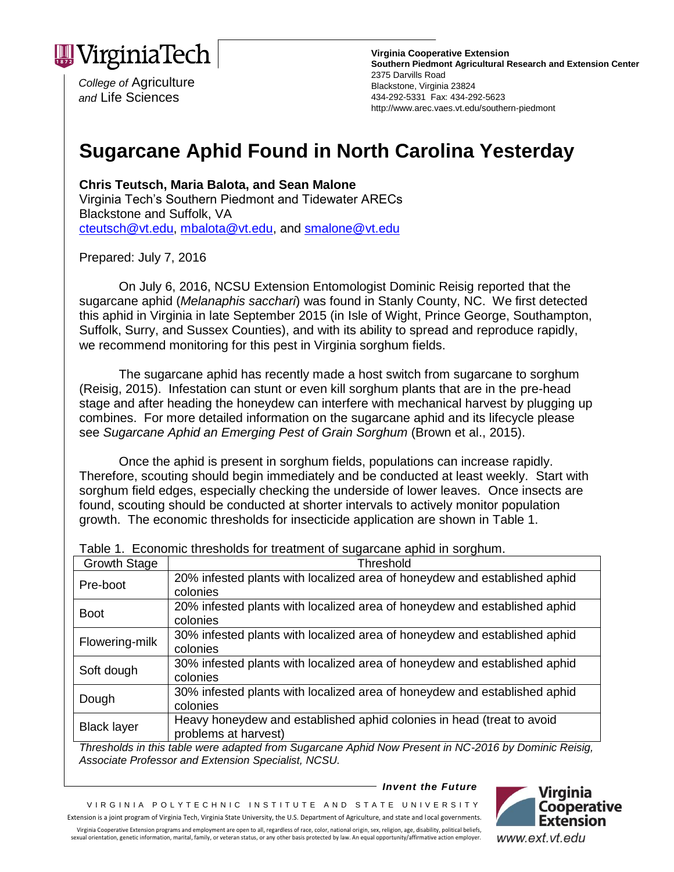

*College of* Agriculture *and* Life Sciences

**Virginia Cooperative Extension Southern Piedmont Agricultural Research and Extension Center** 2375 Darvills Road Blackstone, Virginia 23824 434-292-5331 Fax: 434-292-5623 http://www.arec.vaes.vt.edu/southern-piedmont

## **Sugarcane Aphid Found in North Carolina Yesterday**

**Chris Teutsch, Maria Balota, and Sean Malone** Virginia Tech's Southern Piedmont and Tidewater ARECs Blackstone and Suffolk, VA [cteutsch@vt.edu,](mailto:cteutsch@vt.edu) [mbalota@vt.edu,](mailto:mbalota@vt.edu) and [smalone@vt.edu](mailto:smalone@vt.edu) 

Prepared: July 7, 2016

On July 6, 2016, NCSU Extension Entomologist Dominic Reisig reported that the sugarcane aphid (*Melanaphis sacchari*) was found in Stanly County, NC. We first detected this aphid in Virginia in late September 2015 (in Isle of Wight, Prince George, Southampton, Suffolk, Surry, and Sussex Counties), and with its ability to spread and reproduce rapidly, we recommend monitoring for this pest in Virginia sorghum fields.

The sugarcane aphid has recently made a host switch from sugarcane to sorghum (Reisig, 2015). Infestation can stunt or even kill sorghum plants that are in the pre-head stage and after heading the honeydew can interfere with mechanical harvest by plugging up combines. For more detailed information on the sugarcane aphid and its lifecycle please see *Sugarcane Aphid an Emerging Pest of Grain Sorghum* (Brown et al., 2015).

Once the aphid is present in sorghum fields, populations can increase rapidly. Therefore, scouting should begin immediately and be conducted at least weekly. Start with sorghum field edges, especially checking the underside of lower leaves. Once insects are found, scouting should be conducted at shorter intervals to actively monitor population growth. The economic thresholds for insecticide application are shown in Table 1.

| <b>Growth Stage</b> | Threshold                                                                 |  |  |  |
|---------------------|---------------------------------------------------------------------------|--|--|--|
| Pre-boot            | 20% infested plants with localized area of honeydew and established aphid |  |  |  |
|                     | colonies                                                                  |  |  |  |
| <b>Boot</b>         | 20% infested plants with localized area of honeydew and established aphid |  |  |  |
|                     | colonies                                                                  |  |  |  |
| Flowering-milk      | 30% infested plants with localized area of honeydew and established aphid |  |  |  |
|                     | colonies                                                                  |  |  |  |
| Soft dough          | 30% infested plants with localized area of honeydew and established aphid |  |  |  |
|                     | colonies                                                                  |  |  |  |
| Dough               | 30% infested plants with localized area of honeydew and established aphid |  |  |  |
|                     | colonies                                                                  |  |  |  |
| <b>Black layer</b>  | Heavy honeydew and established aphid colonies in head (treat to avoid     |  |  |  |
|                     | problems at harvest)                                                      |  |  |  |

Table 1. Economic thresholds for treatment of sugarcane aphid in sorghum.

*Thresholds in this table were adapted from Sugarcane Aphid Now Present in NC-2016 by Dominic Reisig, Associate Professor and Extension Specialist, NCSU.* 

*Invent the Future*

VIRGINIA POLYTECHNIC INSTITUTE AND STATE UNIVERSITY Extension is a joint program of Virginia Tech, Virginia State University, the U.S. Department of Agriculture, and state and local governments. Virginia Cooperative Extension programs and employment are open to all, regardless of race, color, national origin, sex, religion, age, disability, political beliefs,



sexual orientation, genetic information, marital, family, or veteran status, or any other basis protected by law. An equal opportunity/affirmative action employer. www.ext.vt.edu